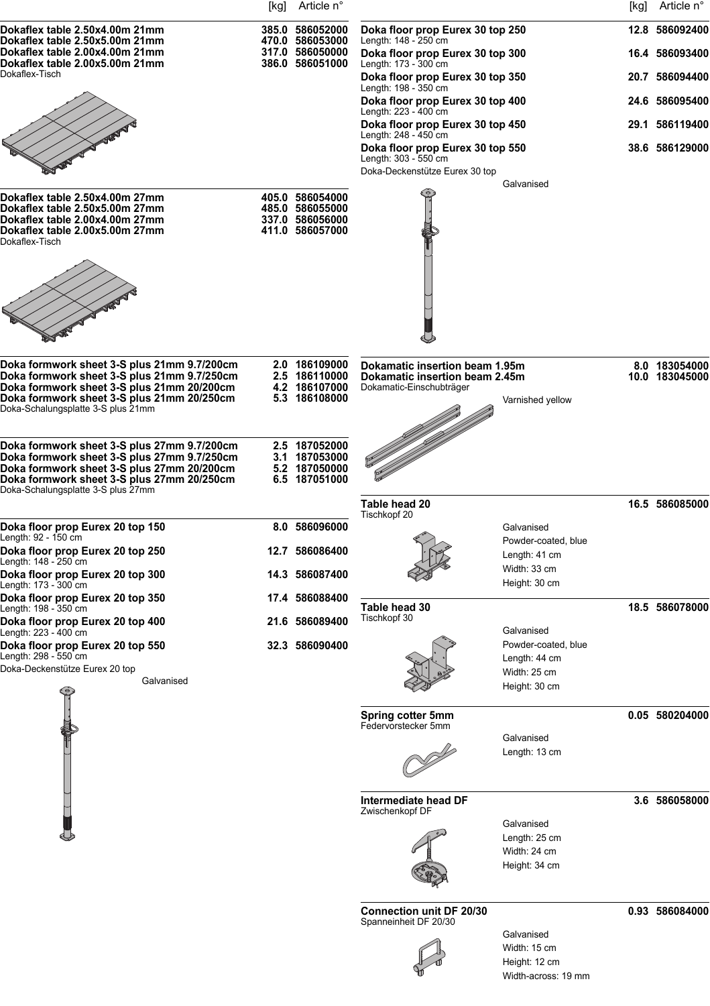|                                                                                                    | [kg] | Article n°                                            |                                                                  |                                   | [kg] | Article n°                      |
|----------------------------------------------------------------------------------------------------|------|-------------------------------------------------------|------------------------------------------------------------------|-----------------------------------|------|---------------------------------|
| Dokaflex table 2.50x4.00m 21mm<br>Dokaflex table 2.50x5.00m 21mm                                   |      | 385.0 586052000<br>470.0 586053000                    | Doka floor prop Eurex 30 top 250<br>Length: 148 - 250 cm         |                                   |      | 12.8 586092400                  |
| Dokaflex table 2.00x4.00m 21mm<br>Dokaflex table 2.00x5.00m 21mm                                   |      | 317.0 586050000<br>386.0 586051000                    | Doka floor prop Eurex 30 top 300<br>Length: 173 - 300 cm         |                                   |      | 16.4 586093400                  |
| Dokaflex-Tisch                                                                                     |      |                                                       | Doka floor prop Eurex 30 top 350<br>Length: 198 - 350 cm         |                                   |      | 20.7 586094400                  |
|                                                                                                    |      |                                                       | Doka floor prop Eurex 30 top 400<br>Length: 223 - 400 cm         |                                   |      | 24.6 586095400                  |
|                                                                                                    |      |                                                       | Doka floor prop Eurex 30 top 450<br>Length: 248 - 450 cm         |                                   |      | 29.1 586119400                  |
|                                                                                                    |      |                                                       | Doka floor prop Eurex 30 top 550<br>Length: 303 - 550 cm         |                                   |      | 38.6 586129000                  |
|                                                                                                    |      |                                                       | Doka-Deckenstütze Eurex 30 top                                   | Galvanised                        |      |                                 |
| Dokaflex table 2.50x4.00m 27mm                                                                     |      | 405.0 586054000                                       |                                                                  |                                   |      |                                 |
| Dokaflex table 2.50x5.00m 27mm<br>Dokaflex table 2.00x4.00m 27mm<br>Dokaflex table 2.00x5.00m 27mm |      | 485.0 586055000<br>337.0 586056000<br>411.0 586057000 |                                                                  |                                   |      |                                 |
| Dokaflex-Tisch                                                                                     |      |                                                       |                                                                  |                                   |      |                                 |
|                                                                                                    |      |                                                       |                                                                  |                                   |      |                                 |
|                                                                                                    |      |                                                       |                                                                  |                                   |      |                                 |
|                                                                                                    |      |                                                       |                                                                  |                                   |      |                                 |
|                                                                                                    |      |                                                       |                                                                  |                                   |      |                                 |
| Doka formwork sheet 3-S plus 21mm 9.7/200cm<br>Doka formwork sheet 3-S plus 21mm 9.7/250cm         |      | 2.0 186109000<br>2.5 186110000                        | Dokamatic insertion beam 1.95m<br>Dokamatic insertion beam 2.45m |                                   |      | 8.0 183054000<br>10.0 183045000 |
| Doka formwork sheet 3-S plus 21mm 20/200cm<br>Doka formwork sheet 3-S plus 21mm 20/250cm           |      | 4.2 186107000<br>5.3 186108000                        | Dokamatic-Einschubträger                                         | Varnished yellow                  |      |                                 |
| Doka-Schalungsplatte 3-S plus 21mm                                                                 |      |                                                       |                                                                  |                                   |      |                                 |
| Doka formwork sheet 3-S plus 27mm 9.7/200cm                                                        |      | 2.5 187052000                                         |                                                                  |                                   |      |                                 |
| Doka formwork sheet 3-S plus 27mm 9.7/250cm<br>Doka formwork sheet 3-S plus 27mm 20/200cm          |      | 3.1 187053000<br>5.2 187050000                        |                                                                  |                                   |      |                                 |
| Doka formwork sheet 3-S plus 27mm 20/250cm<br>Doka-Schalungsplatte 3-S plus 27mm                   |      | 6.5 187051000                                         |                                                                  |                                   |      |                                 |
|                                                                                                    |      |                                                       | Table head 20<br>Tischkopf 20                                    |                                   |      | 16.5 586085000                  |
| Doka floor prop Eurex 20 top 150<br>Length: 92 - 150 cm                                            |      | 8.0 586096000                                         |                                                                  | Galvanised<br>Powder-coated, blue |      |                                 |
| Doka floor prop Eurex 20 top 250<br>Length: 148 - 250 cm                                           | 12.7 | 586086400                                             |                                                                  | Length: 41 cm<br>Width: 33 cm     |      |                                 |
| Doka floor prop Eurex 20 top 300<br>Length: 173 - 300 cm                                           |      | 14.3 586087400                                        |                                                                  | Height: 30 cm                     |      |                                 |
| Doka floor prop Eurex 20 top 350<br>Length: 198 - 350 cm                                           |      | 17.4 586088400                                        | Table head 30<br>Tischkopf 30                                    |                                   |      | 18.5 586078000                  |
| Doka floor prop Eurex 20 top 400<br>Length: 223 - 400 cm                                           |      | 21.6 586089400<br>32.3 586090400                      |                                                                  | Galvanised<br>Powder-coated, blue |      |                                 |
| Doka floor prop Eurex 20 top 550<br>Length: 298 - 550 cm<br>Doka-Deckenstütze Eurex 20 top         |      |                                                       |                                                                  | Length: 44 cm                     |      |                                 |
| Galvanised                                                                                         |      |                                                       |                                                                  | Width: 25 cm<br>Height: 30 cm     |      |                                 |
|                                                                                                    |      |                                                       | <b>Spring cotter 5mm</b>                                         |                                   |      | 0.05 580204000                  |
|                                                                                                    |      |                                                       | Federvorstecker 5mm                                              | Galvanised                        |      |                                 |
|                                                                                                    |      |                                                       |                                                                  | Length: 13 cm                     |      |                                 |
|                                                                                                    |      |                                                       |                                                                  |                                   |      |                                 |
|                                                                                                    |      |                                                       | Intermediate head DF<br>Zwischenkopf DF                          |                                   |      | 3.6 586058000                   |
|                                                                                                    |      |                                                       |                                                                  | Galvanised<br>Length: 25 cm       |      |                                 |
|                                                                                                    |      |                                                       |                                                                  | Width: 24 cm                      |      |                                 |
|                                                                                                    |      |                                                       |                                                                  | Height: 34 cm                     |      |                                 |
|                                                                                                    |      |                                                       | <b>Connection unit DF 20/30</b>                                  |                                   |      | 0.93 586084000                  |
|                                                                                                    |      |                                                       | Spanneinheit DF 20/30                                            | Galvanised                        |      |                                 |
|                                                                                                    |      |                                                       |                                                                  |                                   |      |                                 |



Width: 15 cm Height: 12 cm Width-across: 19 mm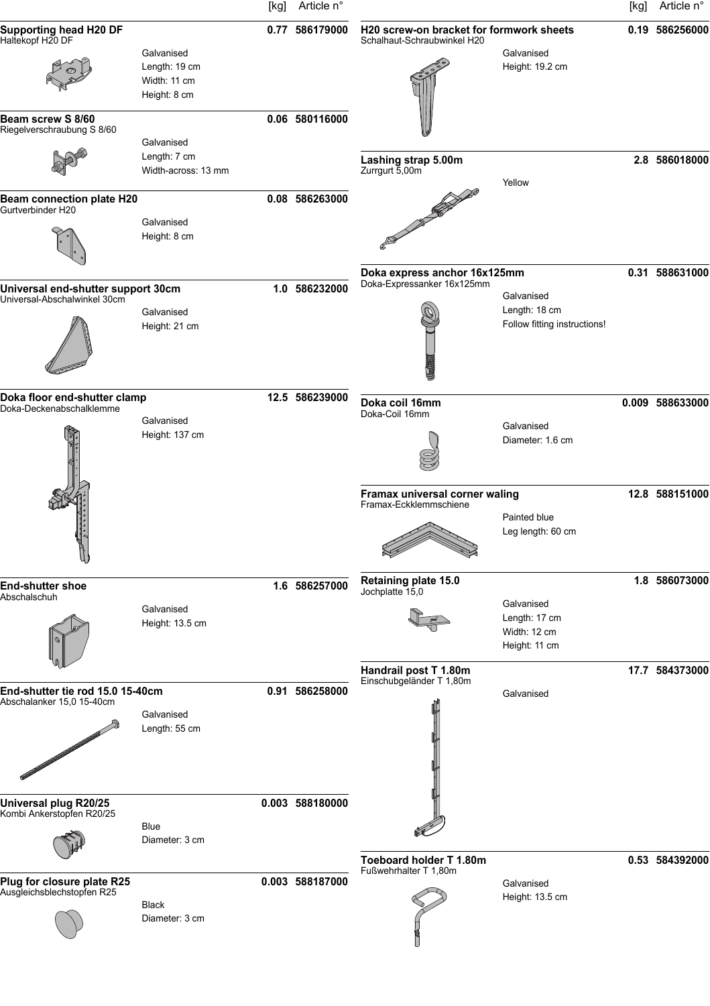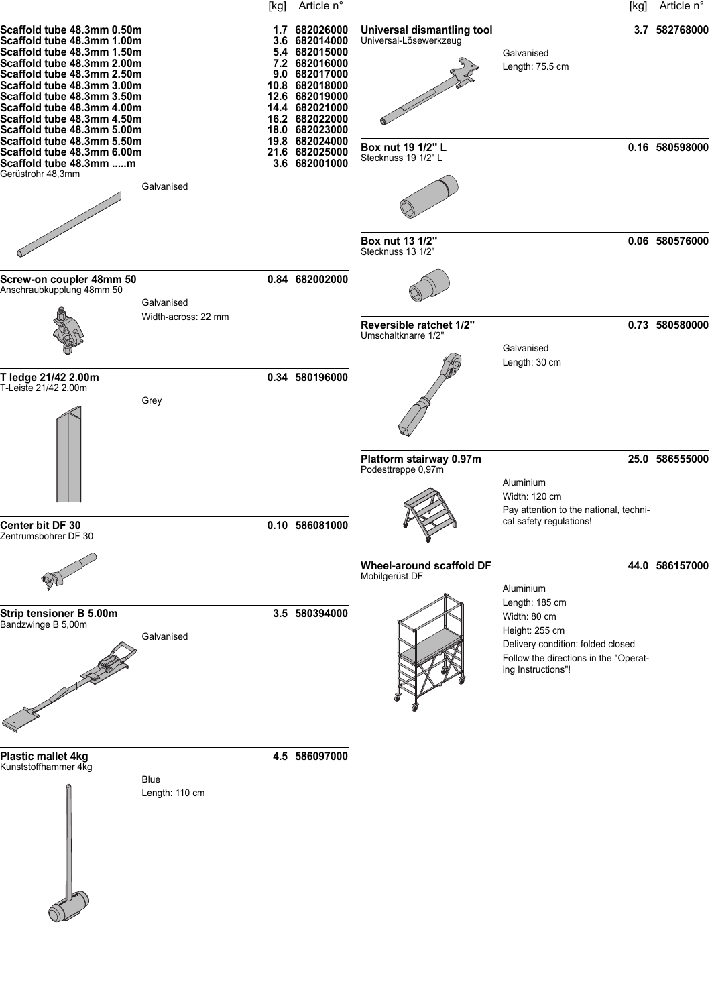